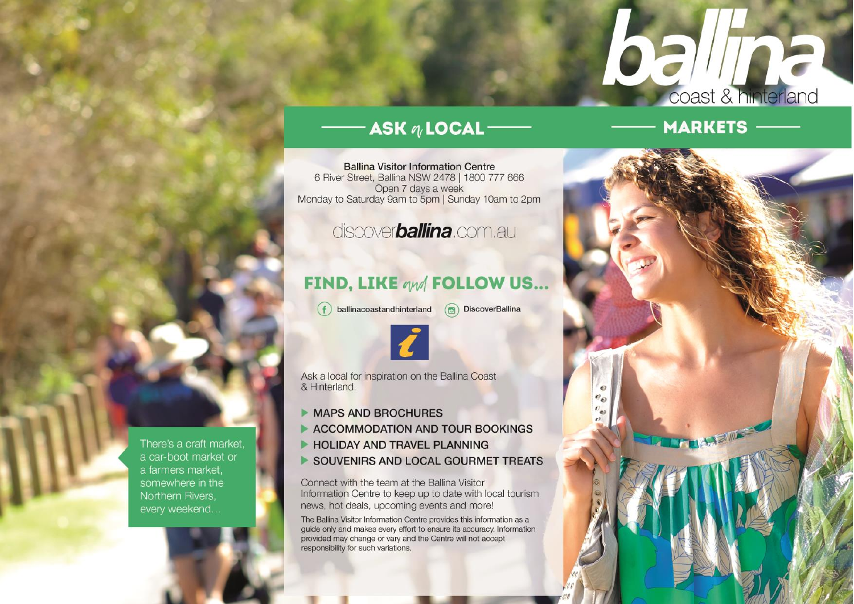## ASK n LOCAL --

**Ballina Visitor Information Centre** 6 River Street, Ballina NSW 2478 | 1800 777 666 Open 7 days a week Monday to Saturday 9am to 5pm | Sunday 10am to 2pm

## discover**ballina**.com.au

## **FIND, LIKE qud FOLLOW US...**

- ballinacoastandhinterland
- $\circledR$  DiscoverBallina



Ask a local for inspiration on the Ballina Coast & Hinterland.

- **MAPS AND BROCHURES**
- ACCOMMODATION AND TOUR BOOKINGS
- **HOLIDAY AND TRAVEL PLANNING**
- SOUVENIRS AND LOCAL GOURMET TREATS

Connect with the team at the Ballina Visitor Information Centre to keep up to date with local tourism news, hot deals, upcoming events and more!

The Ballina Visitor Information Centre provides this information as a guide only and makes every effort to ensure its accuracy. Information provided may change or vary and the Centre will not accept responsibility for such variations.

**MARKETS** 

coast & hinterland

 $\overline{\phantom{a}}$ 

There's a craft market, a car-boot market or a farmers market. somewhere in the Northern Rivers, every weekend...